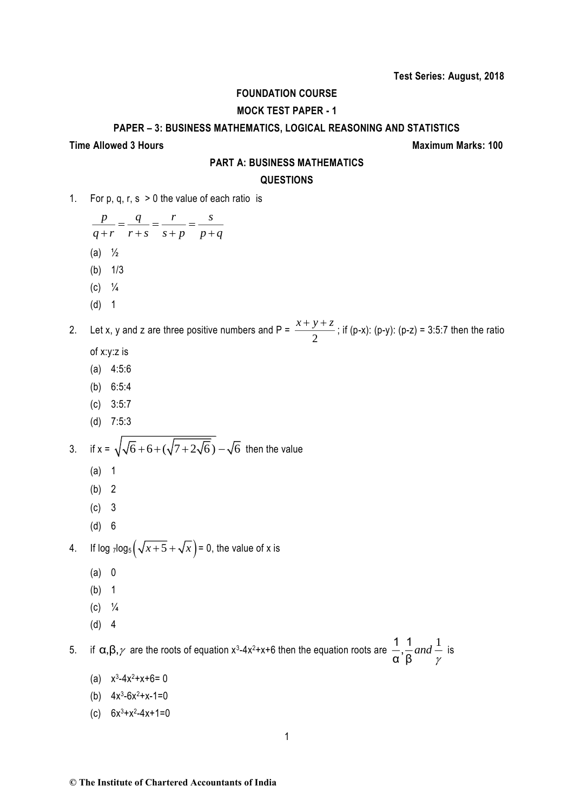## **FOUNDATION COURSE**

## **MOCK TEST PAPER - 1**

#### **PAPER – 3: BUSINESS MATHEMATICS, LOGICAL REASONING AND STATISTICS**

#### **Time Allowed 3 Hours Maximum Marks: 100**

#### **PART A: BUSINESS MATHEMATICS**

#### **QUESTIONS**

1. For p, q, r,  $s > 0$  the value of each ratio is

*p q r s q r r s s p p q*  $\frac{1}{r+s} = \frac{1}{r+s} = \frac{1}{s+p} = \frac{1}{p+1}$ (a)  $\frac{1}{2}$ 

- (b) 1/3
- $(C)$   $\frac{1}{4}$
- (d) 1

2. Let x, y and z are three positive numbers and P =  $\frac{x+y}{2}$  $\frac{x+y+z}{2}$ ; if (p-x): (p-y): (p-z) = 3:5:7 then the ratio

- of x:y:z is
- (a) 4:5:6
- (b) 6:5:4
- (c) 3:5:7
- (d) 7:5:3

3. if 
$$
x = \sqrt{\sqrt{6} + 6 + (\sqrt{7 + 2\sqrt{6}})} - \sqrt{6}
$$
 then the value

- (a) 1
- (b) 2
- (c) 3
- (d) 6

4. If log  $\frac{1}{2}$ log<sub>5</sub> $\left(\sqrt{x+5} + \sqrt{x}\right) = 0$ , the value of x is

- (a) 0
- (b) 1
- $(c)$   $\frac{1}{4}$
- (d) 4

5. if  $\alpha, \beta, \gamma$  are the roots of equation x<sup>3</sup>-4x<sup>2</sup>+x+6 then the equation roots are  $\frac{1}{\alpha}, \frac{1}{\alpha}$  and  $\frac{1}{\alpha}$ , <sup>α</sup> β *and* γ is

- (a)  $x^3-4x^2+x+6=0$
- (b)  $4x^3-6x^2+x-1=0$
- (c)  $6x^3 + x^2 4x + 1 = 0$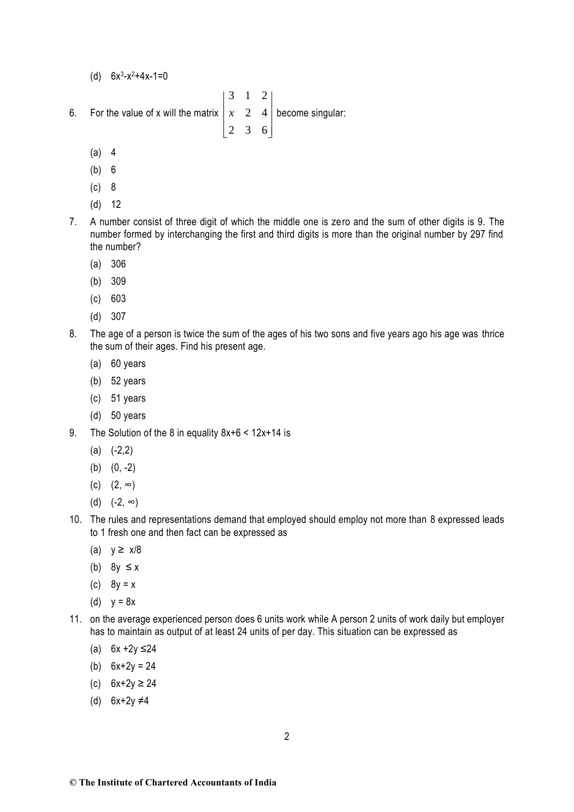- (d)  $6x^3 x^2 + 4x 1 = 0$
- 6. For the value of x will the matrix  $\begin{vmatrix} x & 2 & 4 \end{vmatrix}$  $|3 \t1 \t2|$  $\begin{bmatrix} 2 & 3 & 6 \end{bmatrix}$  $\begin{vmatrix} x & 2 & 4 \end{vmatrix}$  become singular:
	- (a) 4
	- (b) 6
	- (c) 8
	- (d) 12
- 7. A number consist of three digit of which the middle one is zero and the sum of other digits is 9. The number formed by interchanging the first and third digits is more than the original number by 297 find the number?
	- (a) 306
	- (b) 309
	- (c) 603
	- (d) 307
- 8. The age of a person is twice the sum of the ages of his two sons and five years ago his age was thrice the sum of their ages. Find his present age.
	- (a) 60 years
	- (b) 52 years
	- (c) 51 years
	- (d) 50 years
- 9. The Solution of the 8 in equality 8x+6 < 12x+14 is
	- $(a)$   $(-2,2)$
	- (b) (0, -2)
	- (c)  $(2, \infty)$
	- (d)  $(-2, ∞)$
- 10. The rules and representations demand that employed should employ not more than 8 expressed leads to 1 fresh one and then fact can be expressed as
	- (a)  $y \ge x/8$
	- (b)  $8y \le x$
	- (c)  $8y = x$
	- (d)  $v = 8x$
- 11. on the average experienced person does 6 units work while A person 2 units of work daily but employer has to maintain as output of at least 24 units of per day. This situation can be expressed as
	- (a)  $6x + 2y ≤ 24$
	- (b)  $6x+2y = 24$
	- (c) 6x+2y ≥ 24
	- (d) 6x+2y ≠4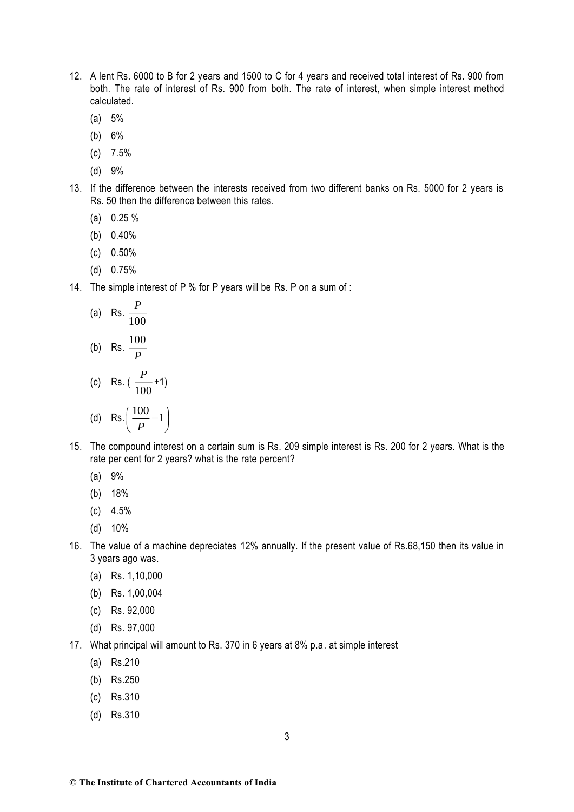- 12. A lent Rs. 6000 to B for 2 years and 1500 to C for 4 years and received total interest of Rs. 900 from both. The rate of interest of Rs. 900 from both. The rate of interest, when simple interest method calculated.
	- (a) 5%
	- (b) 6%
	- (c) 7.5%
	- (d) 9%
- 13. If the difference between the interests received from two different banks on Rs. 5000 for 2 years is Rs. 50 then the difference between this rates.
	- (a) 0.25 %
	- (b) 0.40%
	- (c) 0.50%
	- (d) 0.75%
- 14. The simple interest of P % for P years will be Rs. P on a sum of :

(a) Rs. 
$$
\frac{P}{100}
$$
  
\n(b) Rs.  $\frac{100}{P}$   
\n(c) Rs.  $(\frac{P}{100}+1)$   
\n(d) Rs.  $(\frac{100}{P}-1)$ 

- 15. The compound interest on a certain sum is Rs. 209 simple interest is Rs. 200 for 2 years. What is the rate per cent for 2 years? what is the rate percent?
	- (a) 9%
	- (b) 18%
	- (c) 4.5%
	- (d) 10%
- 16. The value of a machine depreciates 12% annually. If the present value of Rs.68,150 then its value in 3 years ago was.
	- (a) Rs. 1,10,000
	- (b) Rs. 1,00,004
	- (c) Rs. 92,000
	- (d) Rs. 97,000
- 17. What principal will amount to Rs. 370 in 6 years at 8% p.a. at simple interest
	- (a) Rs.210
	- (b) Rs.250
	- (c) Rs.310
	- (d) Rs.310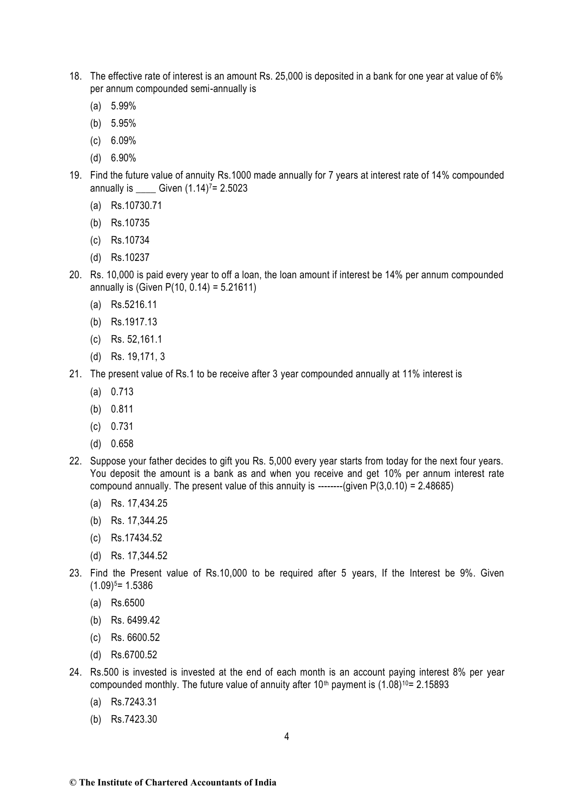- 18. The effective rate of interest is an amount Rs. 25,000 is deposited in a bank for one year at value of 6% per annum compounded semi-annually is
	- (a) 5.99%
	- (b) 5.95%
	- (c) 6.09%
	- (d) 6.90%
- 19. Find the future value of annuity Rs.1000 made annually for 7 years at interest rate of 14% compounded annually is \_\_\_\_ Given (1.14) <sup>7</sup>= 2.5023
	- (a) Rs.10730.71
	- (b) Rs.10735
	- (c) Rs.10734
	- (d) Rs.10237
- 20. Rs. 10,000 is paid every year to off a loan, the loan amount if interest be 14% per annum compounded annually is (Given  $P(10, 0.14) = 5.21611$ )
	- (a) Rs.5216.11
	- (b) Rs.1917.13
	- (c) Rs. 52,161.1
	- (d) Rs. 19,171, 3
- 21. The present value of Rs.1 to be receive after 3 year compounded annually at 11% interest is
	- (a) 0.713
	- (b) 0.811
	- (c) 0.731
	- (d) 0.658
- 22. Suppose your father decides to gift you Rs. 5,000 every year starts from today for the next four years. You deposit the amount is a bank as and when you receive and get 10% per annum interest rate compound annually. The present value of this annuity is --------(given  $P(3,0.10) = 2.48685$ )
	- (a) Rs. 17,434.25
	- (b) Rs. 17,344.25
	- (c) Rs.17434.52
	- (d) Rs. 17,344.52
- 23. Find the Present value of Rs.10,000 to be required after 5 years, If the Interest be 9%. Given  $(1.09)^5$  = 1.5386
	- (a) Rs.6500
	- (b) Rs. 6499.42
	- (c) Rs. 6600.52
	- (d) Rs.6700.52
- 24. Rs.500 is invested is invested at the end of each month is an account paying interest 8% per year compounded monthly. The future value of annuity after  $10<sup>th</sup>$  payment is  $(1.08)<sup>10</sup> = 2.15893$ 
	- (a) Rs.7243.31
	- (b) Rs.7423.30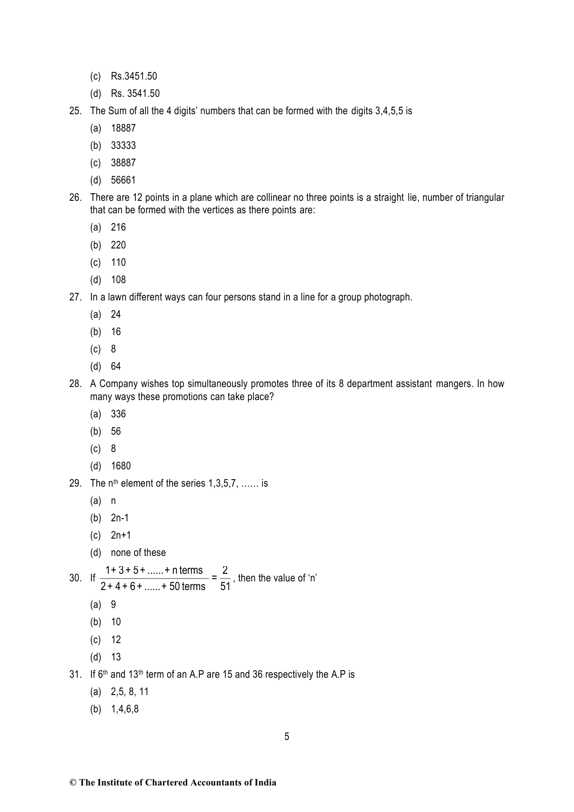- (c) Rs.3451.50
- (d) Rs. 3541.50
- 25. The Sum of all the 4 digits' numbers that can be formed with the digits 3,4,5,5 is
	- (a) 18887
	- (b) 33333
	- (c) 38887
	- (d) 56661
- 26. There are 12 points in a plane which are collinear no three points is a straight lie, number of triangular that can be formed with the vertices as there points are:
	- (a) 216
	- (b) 220
	- (c) 110
	- (d) 108
- 27. In a lawn different ways can four persons stand in a line for a group photograph.
	- (a) 24
	- (b) 16
	- (c) 8
	- (d) 64
- 28. A Company wishes top simultaneously promotes three of its 8 department assistant mangers. In how many ways these promotions can take place?
	- (a) 336
	- (b) 56
	- (c) 8
	- (d) 1680
- 29. The  $n^{th}$  element of the series  $1,3,5,7, \ldots$  is
	- (a) n
	- (b) 2n-1
	- (c) 2n+1
	- (d) none of these

30. If 
$$
\frac{1+3+5+......+n \text{ terms}}{2+4+6+......+50 \text{ terms}} = \frac{2}{51}
$$
, then the value of 'n'

- (a) 9
- (b) 10
- (c) 12
- (d) 13
- 31. If 6th and 13th term of an A.P are 15 and 36 respectively the A.P is
	- (a) 2,5, 8, 11
	- (b) 1,4,6,8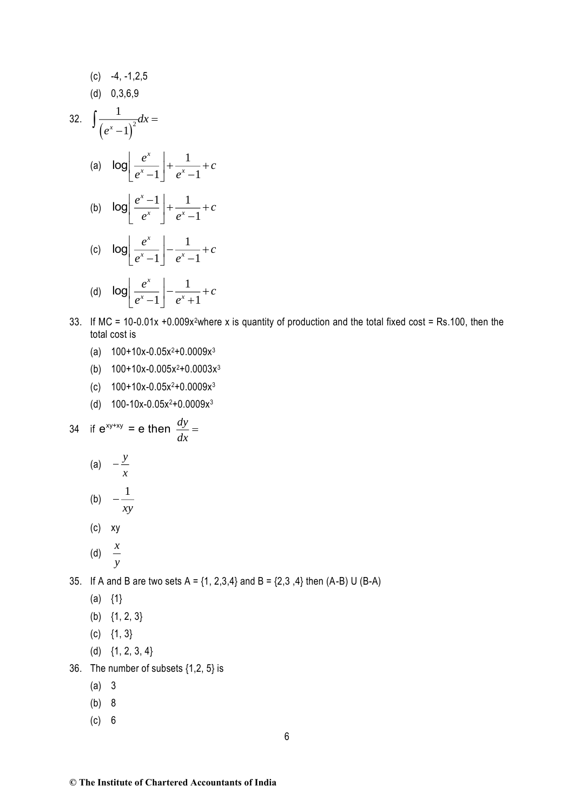(c) -4, -1, 2, 5  
\n(d) 0, 3, 6, 9  
\n32. 
$$
\int \frac{1}{(e^x - 1)^2} dx =
$$
\n(a) 
$$
\log \left[ \frac{e^x}{e^x - 1} \right] + \frac{1}{e^x - 1} + c
$$
\n(b) 
$$
\log \left[ \frac{e^x - 1}{e^x} \right] + \frac{1}{e^x - 1} + c
$$
\n(c) 
$$
\log \left[ \frac{e^x}{e^x - 1} \right] - \frac{1}{e^x - 1} + c
$$
\n(d) 
$$
\log \left[ \frac{e^x}{e^x - 1} \right] - \frac{1}{e^x + 1} + c
$$

- 33. If MC = 10-0.01x +0.009x<sup>2</sup>where x is quantity of production and the total fixed cost = Rs.100, then the total cost is
	- (a)  $100+10x-0.05x^2+0.0009x^3$
	- (b)  $100+10x-0.005x^2+0.0003x^3$
	- (c)  $100+10x-0.05x^2+0.0009x^3$
	- (d)  $100-10x-0.05x^2+0.0009x^3$

34 if 
$$
e^{xy+xy} = e
$$
 then  $\frac{dy}{dx} =$   
(a)  $-\frac{y}{x}$ 

$$
\begin{array}{cc}\n\text{(b)} & -\frac{1}{xy}\n\end{array}
$$

(c) xy

(d) 
$$
\frac{x}{y}
$$

35. If A and B are two sets  $A = \{1, 2, 3, 4\}$  and  $B = \{2, 3, 4\}$  then  $(A-B)$  U  $(B-A)$ 

- $(a) \{1\}$
- (b) {1, 2, 3}
- $(c) \{1, 3\}$
- (d) {1, 2, 3, 4}
- 36. The number of subsets {1,2, 5} is
	- (a) 3
	- (b) 8
	- (c) 6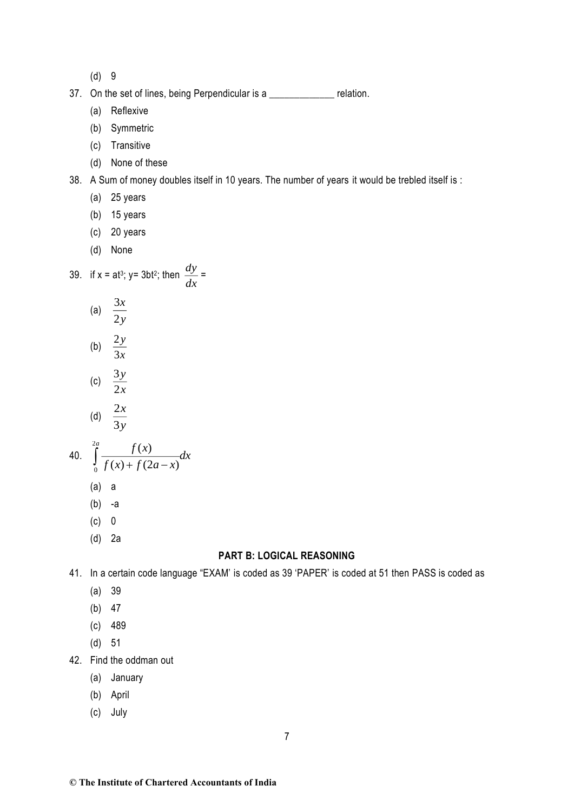(d) 9

- 37. On the set of lines, being Perpendicular is a state of lines, being Perpendicular is a
	- (a) Reflexive
	- (b) Symmetric
	- (c) Transitive
	- (d) None of these
- 38. A Sum of money doubles itself in 10 years. The number of years it would be trebled itself is :
	- (a) 25 years
	- (b) 15 years
	- (c) 20 years
	- (d) None

39. if x = at<sup>3</sup>; y= 3bt<sup>2</sup>; then 
$$
\frac{dy}{dx}
$$
 =

- (a)  $\frac{3}{5}$ 2 *x y*
- (b)  $\frac{2}{3}$ 3 *y x*
- (c)  $\frac{3}{5}$ 2 *y x*
- (d)  $\frac{2}{5}$ 3 *x y*

40. 
$$
\int_{0}^{2a} \frac{f(x)}{f(x) + f(2a - x)} dx
$$
  
(a) a

- (b) -a
- (c) 0
- (d) 2a

#### **PART B: LOGICAL REASONING**

41. In a certain code language "EXAM' is coded as 39 'PAPER' is coded at 51 then PASS is coded as

- (a) 39
- (b) 47
- (c) 489
- (d) 51
- 42. Find the oddman out
	- (a) January
	- (b) April
	- (c) July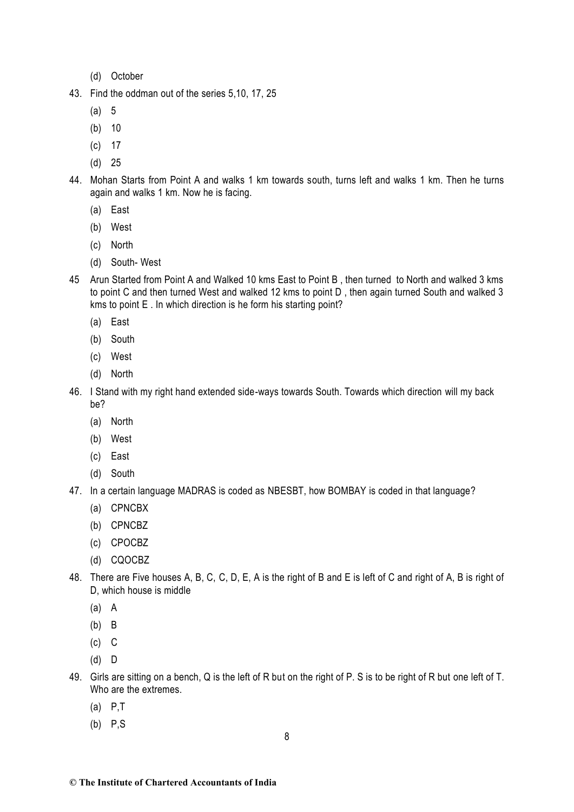- (d) October
- 43. Find the oddman out of the series 5,10, 17, 25
	- (a) 5
	- (b) 10
	- (c) 17
	- (d) 25
- 44. Mohan Starts from Point A and walks 1 km towards south, turns left and walks 1 km. Then he turns again and walks 1 km. Now he is facing.
	- (a) East
	- (b) West
	- (c) North
	- (d) South- West
- 45 Arun Started from Point A and Walked 10 kms East to Point B , then turned to North and walked 3 kms to point C and then turned West and walked 12 kms to point D , then again turned South and walked 3 kms to point E . In which direction is he form his starting point?
	- (a) East
	- (b) South
	- (c) West
	- (d) North
- 46. I Stand with my right hand extended side-ways towards South. Towards which direction will my back be?
	- (a) North
	- (b) West
	- (c) East
	- (d) South
- 47. In a certain language MADRAS is coded as NBESBT, how BOMBAY is coded in that language?
	- (a) CPNCBX
	- (b) CPNCBZ
	- (c) CPOCBZ
	- (d) CQOCBZ
- 48. There are Five houses A, B, C, C, D, E, A is the right of B and E is left of C and right of A, B is right of D, which house is middle
	- (a) A
	- (b) B
	- $(c)$   $C$
	- (d) D
- 49. Girls are sitting on a bench, Q is the left of R but on the right of P. S is to be right of R but one left of T. Who are the extremes.
	- (a) P,T
	- (b) P,S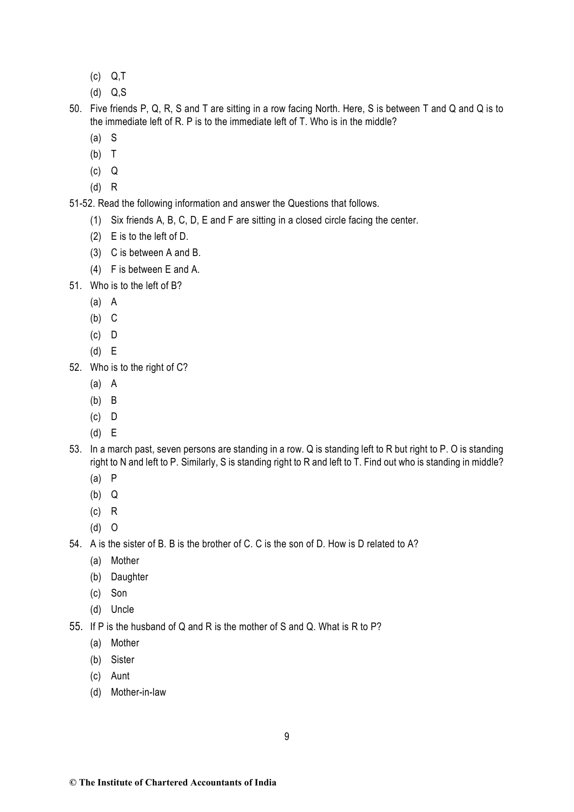- (c) Q,T
- (d) Q,S
- 50. Five friends P, Q, R, S and T are sitting in a row facing North. Here, S is between T and Q and Q is to the immediate left of R. P is to the immediate left of T. Who is in the middle?
	- (a) S
	- (b) T
	- (c) Q
	- (d) R

51-52. Read the following information and answer the Questions that follows.

- (1) Six friends A, B, C, D, E and F are sitting in a closed circle facing the center.
- (2) E is to the left of D.
- (3) C is between A and B.
- (4) F is between E and A.
- 51. Who is to the left of B?
	- (a) A
	- (b) C
	- (c) D
	- (d) E
- 52. Who is to the right of C?
	- (a) A
	- (b) B
	- (c) D
	- (d) E
- 53. In a march past, seven persons are standing in a row. Q is standing left to R but right to P. O is standing right to N and left to P. Similarly, S is standing right to R and left to T. Find out who is standing in middle?
	- (a) P
	- (b) Q
	- (c) R
	- (d) O

54. A is the sister of B. B is the brother of C. C is the son of D. How is D related to A?

- (a) Mother
- (b) Daughter
- (c) Son
- (d) Uncle
- 55. If P is the husband of Q and R is the mother of S and Q. What is R to P?
	- (a) Mother
	- (b) Sister
	- (c) Aunt
	- (d) Mother-in-law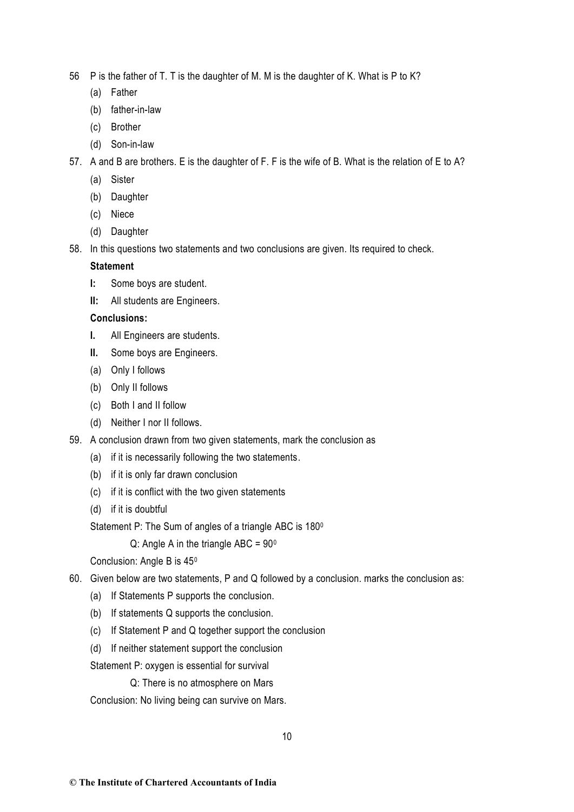56 P is the father of T. T is the daughter of M. M is the daughter of K. What is P to K?

- (a) Father
- (b) father-in-law
- (c) Brother
- (d) Son-in-law
- 57. A and B are brothers. E is the daughter of F. F is the wife of B. What is the relation of E to A?
	- (a) Sister
	- (b) Daughter
	- (c) Niece
	- (d) Daughter
- 58. In this questions two statements and two conclusions are given. Its required to check.

### **Statement**

- **I:** Some boys are student.
- **II:** All students are Engineers.

## **Conclusions:**

- **I.** All Engineers are students.
- **II.** Some boys are Engineers.
- (a) Only I follows
- (b) Only II follows
- (c) Both I and II follow
- (d) Neither I nor II follows.
- 59. A conclusion drawn from two given statements, mark the conclusion as
	- (a) if it is necessarily following the two statements.
	- (b) if it is only far drawn conclusion
	- (c) if it is conflict with the two given statements
	- (d) if it is doubtful
	- Statement P: The Sum of angles of a triangle ABC is  $180^\circ$ 
		- Q: Angle A in the triangle ABC =  $90^\circ$

Conclusion: Angle B is 45<sup>0</sup>

- 60. Given below are two statements, P and Q followed by a conclusion. marks the conclusion as:
	- (a) If Statements P supports the conclusion.
	- (b) If statements Q supports the conclusion.
	- (c) If Statement P and Q together support the conclusion
	- (d) If neither statement support the conclusion

Statement P: oxygen is essential for survival

Q: There is no atmosphere on Mars

Conclusion: No living being can survive on Mars.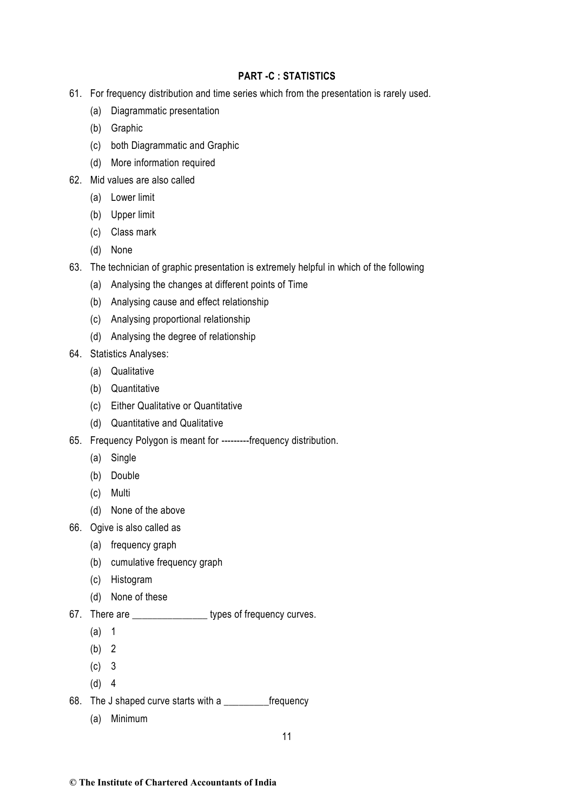# **PART -C : STATISTICS**

- 61. For frequency distribution and time series which from the presentation is rarely used.
	- (a) Diagrammatic presentation
	- (b) Graphic
	- (c) both Diagrammatic and Graphic
	- (d) More information required
- 62. Mid values are also called
	- (a) Lower limit
	- (b) Upper limit
	- (c) Class mark
	- (d) None
- 63. The technician of graphic presentation is extremely helpful in which of the following
	- (a) Analysing the changes at different points of Time
	- (b) Analysing cause and effect relationship
	- (c) Analysing proportional relationship
	- (d) Analysing the degree of relationship
- 64. Statistics Analyses:
	- (a) Qualitative
	- (b) Quantitative
	- (c) Either Qualitative or Quantitative
	- (d) Quantitative and Qualitative
- 65. Frequency Polygon is meant for ---------frequency distribution.
	- (a) Single
	- (b) Double
	- (c) Multi
	- (d) None of the above
- 66. Ogive is also called as
	- (a) frequency graph
	- (b) cumulative frequency graph
	- (c) Histogram
	- (d) None of these
- 67. There are \_\_\_\_\_\_\_\_\_\_\_\_\_\_\_\_\_\_ types of frequency curves.
	- (a) 1
	- (b) 2
	- (c) 3
	- (d) 4
- 68. The J shaped curve starts with a \_\_\_\_\_\_\_\_\_frequency
	- (a) Minimum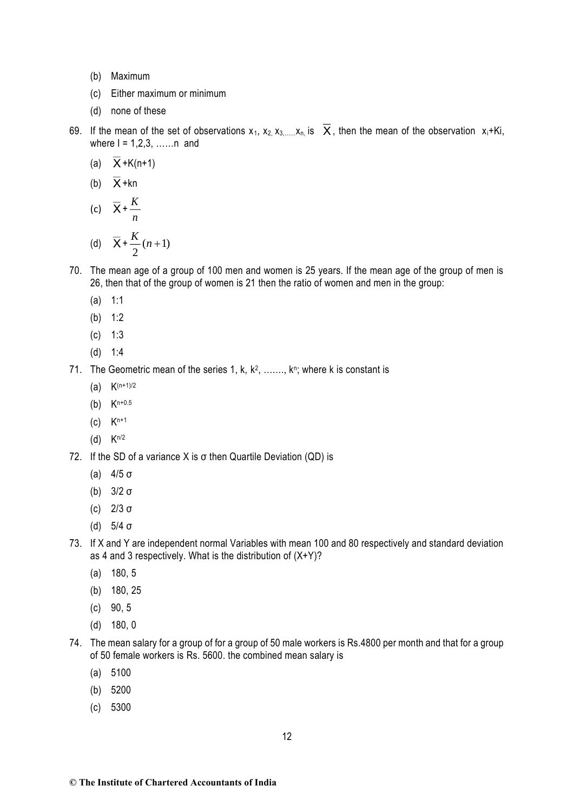- (b) Maximum
- (c) Either maximum or minimum
- (d) none of these
- 69. If the mean of the set of observations  $x_1, x_2, x_3, \ldots, x_n$  is  $X$ , then the mean of the observation  $x_i + Ki$ , where  $I = 1.2.3$ , ...... n and
	- (a) X +K(n+1)
	- (b) X +kn
	- (c)  $\overline{X} + \frac{K}{A}$ *n*

(d) 
$$
\overline{X} + \frac{K}{2}(n+1)
$$

- 70. The mean age of a group of 100 men and women is 25 years. If the mean age of the group of men is 26, then that of the group of women is 21 then the ratio of women and men in the group:
	- (a) 1:1
	- (b) 1:2
	- (c) 1:3
	- (d) 1:4
- 71. The Geometric mean of the series 1, k,  $k^2$ , .......,  $k^n$ ; where k is constant is
	- (a)  $K^{(n+1)/2}$
	- (b) Kn+0.5
	- $(c)$   $K^{n+1}$
	- (d)  $K^{n/2}$
- 72. If the SD of a variance X is σ then Quartile Deviation (QD) is
	- (a) 4/5 σ
	- (b) 3/2 σ
	- (c) 2/3 σ
	- (d) 5/4 σ
- 73. If X and Y are independent normal Variables with mean 100 and 80 respectively and standard deviation as 4 and 3 respectively. What is the distribution of  $(X+Y)$ ?
	- (a) 180, 5
	- (b) 180, 25
	- (c) 90, 5
	- (d) 180, 0
- 74. The mean salary for a group of for a group of 50 male workers is Rs.4800 per month and that for a group of 50 female workers is Rs. 5600. the combined mean salary is
	- (a) 5100
	- (b) 5200
	- (c) 5300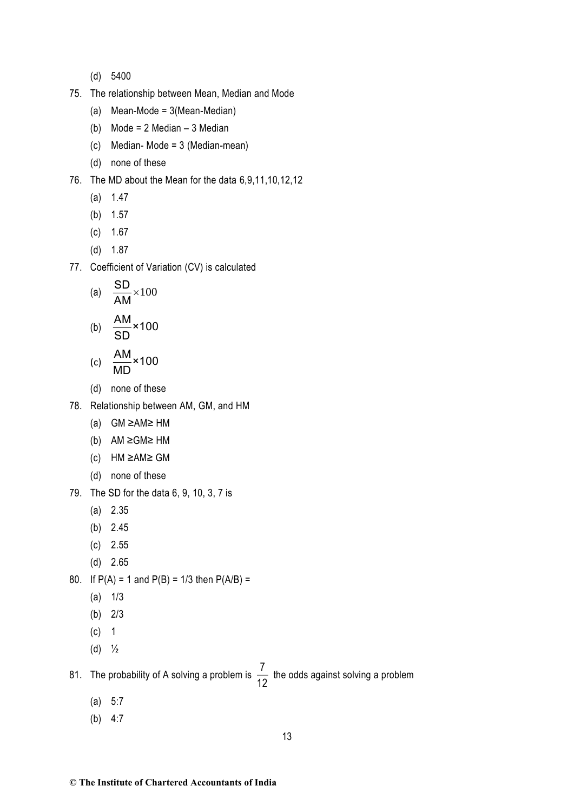- (d) 5400
- 75. The relationship between Mean, Median and Mode
	- (a) Mean-Mode = 3(Mean-Median)
	- (b) Mode = 2 Median 3 Median
	- (c) Median- Mode = 3 (Median-mean)
	- (d) none of these
- 76. The MD about the Mean for the data 6,9,11,10,12,12
	- (a) 1.47
	- (b) 1.57
	- (c) 1.67
	- (d) 1.87
- 77. Coefficient of Variation (CV) is calculated

(a) 
$$
\frac{\text{SD}}{\text{AM}} \times 100
$$
  
(b)  $\frac{\text{AM}}{\text{SD}} \times 100$ 

$$
(c) \quad \frac{\text{AM}}{\text{MD}} \times 100
$$

- (d) none of these
- 78. Relationship between AM, GM, and HM
	- (a) GM ≥AM≥ HM
	- (b) AM ≥GM≥ HM
	- (c) HM ≥AM≥ GM
	- (d) none of these
- 79. The SD for the data 6, 9, 10, 3, 7 is
	- (a) 2.35
	- (b) 2.45
	- (c) 2.55
	- (d) 2.65

80. If  $P(A) = 1$  and  $P(B) = 1/3$  then  $P(A/B) =$ 

- (a) 1/3
- (b) 2/3
- (c) 1
- (d)  $\frac{1}{2}$

81. The probability of A solving a problem is  $\frac{7}{16}$  $\frac{1}{12}$  the odds against solving a problem

- (a) 5:7
- (b) 4:7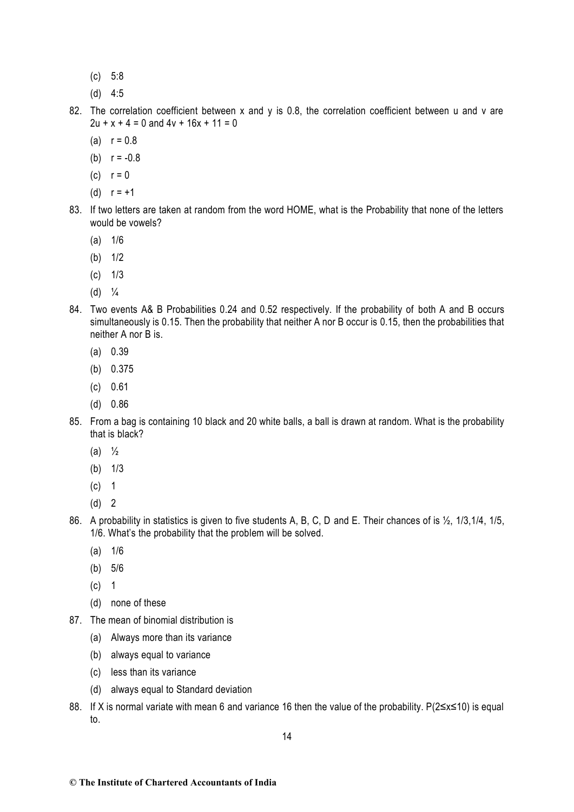- (c) 5:8
- (d) 4:5
- 82. The correlation coefficient between x and y is 0.8, the correlation coefficient between u and v are  $2u + x + 4 = 0$  and  $4v + 16x + 11 = 0$ 
	- (a)  $r = 0.8$
	- (b)  $r = -0.8$
	- $(c)$   $r = 0$
	- (d)  $r = +1$
- 83. If two letters are taken at random from the word HOME, what is the Probability that none of the letters would be vowels?
	- (a) 1/6
	- (b) 1/2
	- $(c)$  1/3
	- $(d) <sup>1</sup>/<sub>4</sub>$
- 84. Two events A& B Probabilities 0.24 and 0.52 respectively. If the probability of both A and B occurs simultaneously is 0.15. Then the probability that neither A nor B occur is 0.15, then the probabilities that neither A nor B is.
	- (a) 0.39
	- (b) 0.375
	- (c) 0.61
	- (d) 0.86
- 85. From a bag is containing 10 black and 20 white balls, a ball is drawn at random. What is the probability that is black?
	- (a)  $\frac{1}{2}$
	- (b) 1/3
	- (c) 1
	- $(d)$  2
- 86. A probability in statistics is given to five students A, B, C, D and E. Their chances of is  $\frac{1}{2}$ , 1/3,1/4, 1/5, 1/6. What's the probability that the problem will be solved.
	- (a) 1/6
	- (b) 5/6
	- (c) 1
	- (d) none of these
- 87. The mean of binomial distribution is
	- (a) Always more than its variance
	- (b) always equal to variance
	- (c) less than its variance
	- (d) always equal to Standard deviation
- 88. If X is normal variate with mean 6 and variance 16 then the value of the probability. P(2≤x≤10) is equal to.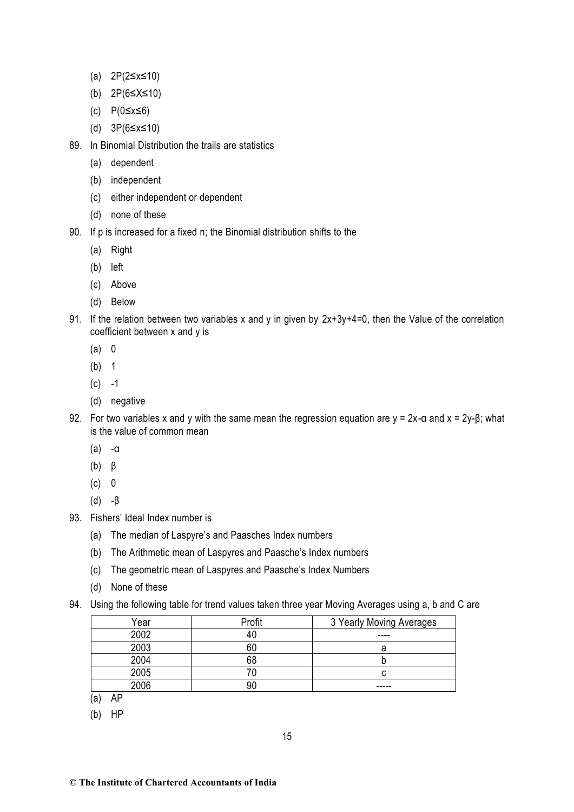- (a) 2P(2≤x≤10)
- (b) 2P(6≤X≤10)
- (c) P(0≤x≤6)
- (d) 3P(6≤x≤10)
- 89. In Binomial Distribution the trails are statistics
	- (a) dependent
	- (b) independent
	- (c) either independent or dependent
	- (d) none of these
- 90. If p is increased for a fixed n; the Binomial distribution shifts to the
	- (a) Right
	- (b) left
	- (c) Above
	- (d) Below
- 91. If the relation between two variables x and y in given by  $2x+3y+4=0$ , then the Value of the correlation coefficient between x and y is
	- (a) 0
	- (b) 1
	- $(c) -1$
	- (d) negative
- 92. For two variables x and y with the same mean the regression equation are  $y = 2x$ -α and  $x = 2y-8$ ; what is the value of common mean
	- (a) -α
	- (b) β
	- $(c) 0$
	- (d) -β
- 93. Fishers' Ideal Index number is
	- (a) The median of Laspyre's and Paasches Index numbers
	- (b) The Arithmetic mean of Laspyres and Paasche's Index numbers
	- (c) The geometric mean of Laspyres and Paasche's Index Numbers
	- (d) None of these
- 94. Using the following table for trend values taken three year Moving Averages using a, b and C are

| Year | Profit | 3 Yearly Moving Averages |
|------|--------|--------------------------|
| 2002 |        | ----                     |
| 2003 |        |                          |
| 2004 | 68     |                          |
| 2005 |        |                          |
| 2006 | ۹ſ     | -----                    |

- (a) AP
- (b) HP